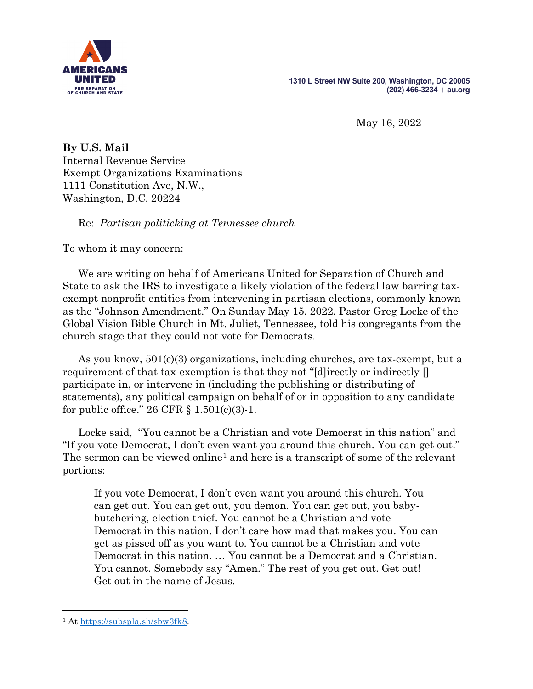

May 16, 2022

**By U.S. Mail** Internal Revenue Service Exempt Organizations Examinations 1111 Constitution Ave, N.W., Washington, D.C. 20224

Re: *Partisan politicking at Tennessee church*

To whom it may concern:

We are writing on behalf of Americans United for Separation of Church and State to ask the IRS to investigate a likely violation of the federal law barring taxexempt nonprofit entities from intervening in partisan elections, commonly known as the "Johnson Amendment." On Sunday May 15, 2022, Pastor Greg Locke of the Global Vision Bible Church in Mt. Juliet, Tennessee, told his congregants from the church stage that they could not vote for Democrats.

As you know, 501(c)(3) organizations, including churches, are tax-exempt, but a requirement of that tax-exemption is that they not "[d]irectly or indirectly  $\lceil \rceil$ participate in, or intervene in (including the publishing or distributing of statements), any political campaign on behalf of or in opposition to any candidate for public office."  $26 \text{ CFR } \S 1.501(c)(3) - 1.$ 

Locke said, "You cannot be a Christian and vote Democrat in this nation" and "If you vote Democrat, I don't even want you around this church. You can get out." The sermon can be viewed online<sup>[1](#page-0-0)</sup> and here is a transcript of some of the relevant portions:

If you vote Democrat, I don't even want you around this church. You can get out. You can get out, you demon. You can get out, you babybutchering, election thief. You cannot be a Christian and vote Democrat in this nation. I don't care how mad that makes you. You can get as pissed off as you want to. You cannot be a Christian and vote Democrat in this nation. … You cannot be a Democrat and a Christian. You cannot. Somebody say "Amen." The rest of you get out. Get out! Get out in the name of Jesus.

<span id="page-0-0"></span><sup>1</sup> At [https://subspla.sh/sbw3fk8.](https://subspla.sh/sbw3fk8)